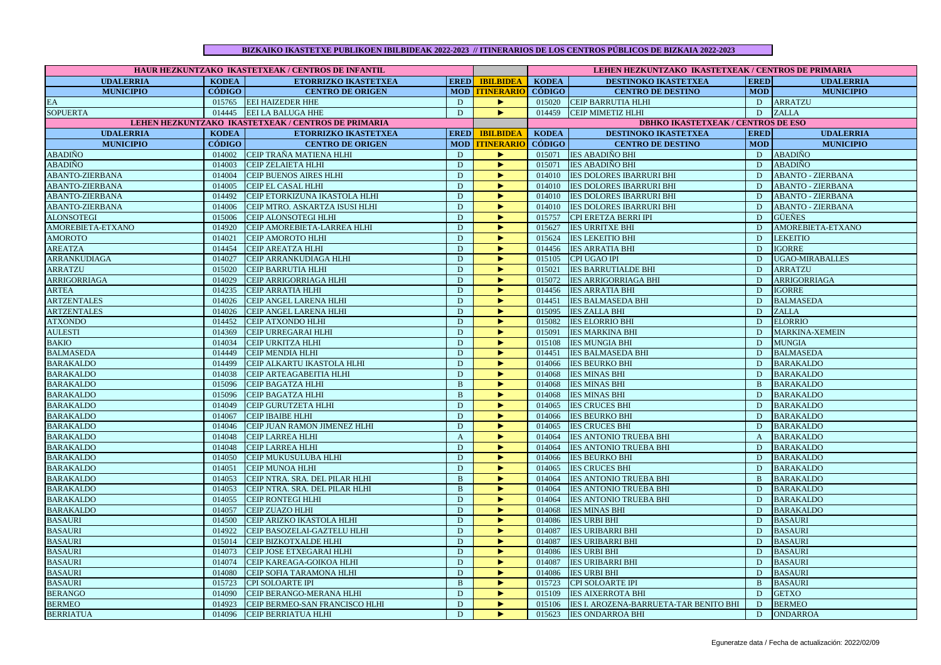## **BIZKAIKO IKASTETXE PUBLIKOEN IBILBIDEAK 2022-2023 // ITINERARIOS DE LOS CENTROS PÚBLICOS DE BIZKAIA 2022-2023**

| HAUR HEZKUNTZAKO IKASTETXEAK / CENTROS DE INFANTIL |               |                                                     |                |                       | LEHEN HEZKUNTZAKO IKASTETXEAK / CENTROS DE PRIMARIA |                                           |              |                          |  |
|----------------------------------------------------|---------------|-----------------------------------------------------|----------------|-----------------------|-----------------------------------------------------|-------------------------------------------|--------------|--------------------------|--|
| <b>UDALERRIA</b>                                   | <b>KODEA</b>  | <b>ETORRIZKO IKASTETXEA</b>                         | <b>ERED</b>    | <b>IBILBIDEA</b>      | <b>KODEA</b>                                        | DESTINOKO IKASTETXEA                      | <b>ERED</b>  | <b>UDALERRIA</b>         |  |
| <b>MUNICIPIO</b>                                   | <b>CÓDIGO</b> | <b>CENTRO DE ORIGEN</b>                             |                | <b>MOD TTINERARIO</b> | <b>CÓDIGO</b>                                       | <b>CENTRO DE DESTINO</b>                  | <b>MOD</b>   | <b>MUNICIPIO</b>         |  |
| EA                                                 |               | 015765 EEI HAIZEDER HHE                             | D              | ►                     |                                                     | 015020 CEIP BARRUTIA HLHI                 | D            | <b>ARRATZU</b>           |  |
| <b>SOPUERTA</b>                                    |               | 014445 EEI LA BALUGA HHE                            | D              | Þ.                    | 014459                                              | <b>CEIP MIMETIZ HLHI</b>                  | D            | <b>ZALLA</b>             |  |
|                                                    |               | LEHEN HEZKUNTZAKO IKASTETXEAK / CENTROS DE PRIMARIA |                |                       |                                                     | <b>DBHKO IKASTETXEAK / CENTROS DE ESO</b> |              |                          |  |
| <b>UDALERRIA</b>                                   | <b>KODEA</b>  | <b>ETORRIZKO IKASTETXEA</b>                         | <b>ERED</b>    | <b>IBILBIDEA</b>      | <b>KODEA</b>                                        | DESTINOKO IKASTETXEA                      | <b>ERED</b>  | <b>UDALERRIA</b>         |  |
| <b>MUNICIPIO</b>                                   | <b>CÓDIGO</b> | <b>CENTRO DE ORIGEN</b>                             |                | <b>MOD TINERARIO</b>  | <b>CÓDIGO</b>                                       | <b>CENTRO DE DESTINO</b>                  | <b>MOD</b>   | <b>MUNICIPIO</b>         |  |
| <b>ABADIÑO</b>                                     | 014002        | CEIP TRAÑA MATIENA HLHI                             | D              | $\blacktriangleright$ |                                                     | 015071 <b>IES ABADIÑO BHI</b>             | D            | <b>ABADIÑO</b>           |  |
| <b>ABADIÑO</b>                                     | 014003        | <b>CEIP ZELAIETA HLHI</b>                           | D              | Þ.                    | 015071                                              | <b>IES ABADIÑO BHI</b>                    | D            | <b>ABADIÑO</b>           |  |
| <b>ABANTO-ZIERBANA</b>                             | 014004        | CEIP BUENOS AIRES HLHI                              | $\overline{D}$ | ь                     | 014010                                              | <b>IES DOLORES IBARRURI BHI</b>           | D            | <b>ABANTO - ZIERBANA</b> |  |
| <b>ABANTO-ZIERBANA</b>                             | 014005        | CEIP EL CASAL HLHI                                  | D              | ▶                     | 014010                                              | <b>IES DOLORES IBARRURI BHI</b>           | D            | <b>ABANTO - ZIERBANA</b> |  |
| ABANTO-ZIERBANA                                    | 014492        | CEIP ETORKIZUNA IKASTOLA HLHI                       | D              | $\blacktriangleright$ | 014010                                              | <b>IES DOLORES IBARRURI BHI</b>           | D            | <b>ABANTO - ZIERBANA</b> |  |
| ABANTO-ZIERBANA                                    | 014006        | CEIP MTRO. ASKARTZA ISUSI HLHI                      | D              | ▶                     | 014010                                              | <b>IES DOLORES IBARRURI BHI</b>           | D            | <b>ABANTO - ZIERBANA</b> |  |
| <b>ALONSOTEGI</b>                                  | 015006        | CEIP ALONSOTEGI HLHI                                | D              | ь                     | 015757                                              | CPI ERETZA BERRI IPI                      | D            | <b>GÜEÑES</b>            |  |
| AMOREBIETA-ETXANO                                  | 014920        | CEIP AMOREBIETA-LARREA HLHI                         | D              | ь                     | 015627                                              | <b>IES URRITXE BHI</b>                    | D            | AMOREBIETA-ETXANO        |  |
| <b>AMOROTO</b>                                     | 014021        | <b>CEIP AMOROTO HLHI</b>                            | D              | ь                     | 015624                                              | <b>IES LEKEITIO BHI</b>                   | D            | <b>LEKEITIO</b>          |  |
| <b>AREATZA</b>                                     | 014454        | <b>CEIP AREATZA HLHI</b>                            | D              | ь                     | 014456                                              | <b>IES ARRATIA BHI</b>                    | D            | <b>IGORRE</b>            |  |
| ARRANKUDIAGA                                       | 014027        | CEIP ARRANKUDIAGA HLHI                              | D              | ь                     | 015105                                              | <b>CPI UGAO IPI</b>                       | D            | <b>UGAO-MIRABALLES</b>   |  |
| ARRATZU                                            | 015020        | <b>CEIP BARRUTIA HLHI</b>                           | D              | $\blacktriangleright$ |                                                     | 015021 <b>IES BARRUTIALDE BHI</b>         | D            | <b>ARRATZU</b>           |  |
| ARRIGORRIAGA                                       | 014029        | CEIP ARRIGORRIAGA HLHI                              | D              | ь                     | 015072                                              | <b>IES ARRIGORRIAGA BHI</b>               | D            | ARRIGORRIAGA             |  |
| <b>ARTEA</b>                                       | 014235        | <b>CEIP ARRATIA HLHI</b>                            | $\overline{D}$ | ь                     |                                                     | 014456 <b>IES ARRATIA BHI</b>             | D.           | <b>IGORRE</b>            |  |
| <b>ARTZENTALES</b>                                 | 014026        | CEIP ANGEL LARENA HLHI                              | D              | ь                     |                                                     | 014451 IES BALMASEDA BHI                  | ${\bf D}$    | <b>BALMASEDA</b>         |  |
| <b>ARTZENTALES</b>                                 | 014026        | CEIP ANGEL LARENA HLHI                              | D              | ь                     | 015095                                              | <b>IES ZALLA BHI</b>                      | D            | <b>ZALLA</b>             |  |
| <b>ATXONDO</b>                                     | 014452        | CEIP ATXONDO HLHI                                   | D              | ▶                     | 015082                                              | <b>IES ELORRIO BHI</b>                    | D            | <b>ELORRIO</b>           |  |
| <b>AULESTI</b>                                     | 014369        | CEIP URREGARAI HLHI                                 | ${\bf D}$      | ь                     | 015091                                              | <b>IES MARKINA BHI</b>                    | D            | <b>MARKINA-XEMEIN</b>    |  |
| <b>BAKIO</b>                                       | 014034        | CEIP URKITZA HLHI                                   | D              | ь                     | 015108                                              | <b>IES MUNGIA BHI</b>                     | D            | <b>MUNGIA</b>            |  |
| <b>BALMASEDA</b>                                   | 014449        | <b>CEIP MENDIA HLHI</b>                             | D              | ь                     | 014451                                              | <b>IES BALMASEDA BHI</b>                  | D            | <b>BALMASEDA</b>         |  |
| <b>BARAKALDO</b>                                   | 014499        | CEIP ALKARTU IKASTOLA HLHI                          | D              | ь                     | 014066                                              | <b>IES BEURKO BHI</b>                     | D            | <b>BARAKALDO</b>         |  |
| <b>BARAKALDO</b>                                   | 014038        | CEIP ARTEAGABEITIA HLHI                             | D              | $\blacktriangleright$ | 014068                                              | <b>IES MINAS BHI</b>                      | D            | <b>BARAKALDO</b>         |  |
| <b>BARAKALDO</b>                                   | 015096        | CEIP BAGATZA HLHI                                   | $\mathbf{B}$   | ▶                     | 014068                                              | <b>IES MINAS BHI</b>                      | $\mathbf{B}$ | <b>BARAKALDO</b>         |  |
| <b>BARAKALDO</b>                                   | 015096        | CEIP BAGATZA HLHI                                   | $\, {\bf B}$   | ь                     | 014068                                              | <b>IES MINAS BHI</b>                      | D.           | <b>BARAKALDO</b>         |  |
| <b>BARAKALDO</b>                                   | 014049        | CEIP GURUTZETA HLHI                                 | D              | ь                     | 014065                                              | <b>IES CRUCES BHI</b>                     | D            | <b>BARAKALDO</b>         |  |
| <b>BARAKALDO</b>                                   | 014067        | <b>CEIP IBAIBE HLHI</b>                             | D              | ь                     | 014066                                              | <b>IES BEURKO BHI</b>                     | D            | <b>BARAKALDO</b>         |  |
| <b>BARAKALDO</b>                                   | 014046        | CEIP JUAN RAMON JIMENEZ HLHI                        | $\mathbf D$    | $\blacktriangleright$ | 014065                                              | <b>IES CRUCES BHI</b>                     | $\mathbf{D}$ | <b>BARAKALDO</b>         |  |
| <b>BARAKALDO</b>                                   | 014048        | <b>CEIP LARREA HLHI</b>                             | $\mathbf{A}$   | ▶                     | 014064                                              | <b>IES ANTONIO TRUEBA BHI</b>             | $\mathbf{A}$ | <b>BARAKALDO</b>         |  |
| <b>BARAKALDO</b>                                   | 014048        | <b>CEIP LARREA HLHI</b>                             | ${\bf D}$      | ь                     | 014064                                              | <b>IES ANTONIO TRUEBA BHI</b>             | D            | <b>BARAKALDO</b>         |  |
| <b>BARAKALDO</b>                                   | 014050        | CEIP MUKUSULUBA HLHI                                | $\overline{D}$ | ь                     | 014066                                              | <b>IES BEURKO BHI</b>                     | D            | <b>BARAKALDO</b>         |  |
| <b>BARAKALDO</b>                                   | 014051        | <b>CEIP MUNOA HLHI</b>                              | D              | ь                     | 014065                                              | <b>IES CRUCES BHI</b>                     | D            | <b>BARAKALDO</b>         |  |
| <b>BARAKALDO</b>                                   | 014053        | CEIP NTRA. SRA. DEL PILAR HLHI                      | $\mathbf{B}$   | ь                     | 014064                                              | <b>IES ANTONIO TRUEBA BHI</b>             | $\mathbf{B}$ | <b>BARAKALDO</b>         |  |
| <b>BARAKALDO</b>                                   | 014053        | CEIP NTRA. SRA. DEL PILAR HLHI                      | $\mathbf{B}$   | ь                     | 014064                                              | <b>IES ANTONIO TRUEBA BHI</b>             | D            | <b>BARAKALDO</b>         |  |
| <b>BARAKALDO</b>                                   | 014055        | <b>CEIP RONTEGI HLHI</b>                            | D              | $\blacktriangleright$ | 014064                                              | <b>IES ANTONIO TRUEBA BHI</b>             | D            | <b>BARAKALDO</b>         |  |
| <b>BARAKALDO</b>                                   | 014057        | CEIP ZUAZO HLHI                                     | D              | ь                     | 014068                                              | <b>IES MINAS BHI</b>                      | D            | <b>BARAKALDO</b>         |  |
| <b>BASAURI</b>                                     | 014500        | CEIP ARIZKO IKASTOLA HLHI                           | D              | ь                     | 014086                                              | <b>IES URBI BHI</b>                       | D            | <b>BASAURI</b>           |  |
| <b>BASAURI</b>                                     | 014922        | CEIP BASOZELAI-GAZTELU HLHI                         | D              | ▶                     | 014087                                              | <b>IES URIBARRI BHI</b>                   | D            | <b>BASAURI</b>           |  |
| <b>BASAURI</b>                                     | 015014        | CEIP BIZKOTXALDE HLHI                               | D              | ь                     | 014087                                              | <b>IES URIBARRI BHI</b>                   | D            | <b>BASAURI</b>           |  |
| <b>BASAURI</b>                                     | 014073        | CEIP JOSE ETXEGARAI HLHI                            | D              | $\blacktriangleright$ | 014086                                              | <b>IES URBI BHI</b>                       | D            | <b>BASAURI</b>           |  |
| <b>BASAURI</b>                                     | 014074        | CEIP KAREAGA-GOIKOA HLHI                            | $\mathbf{D}$   | ▶                     | 014087                                              | <b>IES URIBARRI BHI</b>                   | D            | <b>BASAURI</b>           |  |
| <b>BASAURI</b>                                     | 014080        | CEIP SOFIA TARAMONA HLHI                            | D              | ь                     | 014086                                              | <b>IES URBI BHI</b>                       | D            | <b>BASAURI</b>           |  |
| <b>BASAURI</b>                                     | 015723        | CPI SOLOARTE IPI                                    | $\overline{B}$ | ь                     | 015723                                              | CPI SOLOARTE IPI                          | $\mathbf{B}$ | <b>BASAURI</b>           |  |
| <b>BERANGO</b>                                     | 014090        | CEIP BERANGO-MERANA HLHI                            | D              | ▶                     | 015109                                              | <b>IES AIXERROTA BHI</b>                  | D            | <b>GETXO</b>             |  |
| <b>BERMEO</b>                                      | 014923        | CEIP BERMEO-SAN FRANCISCO HLHI                      | D              | $\blacktriangleright$ | 015106                                              | IES I. AROZENA-BARRUETA-TAR BENITO BHI    | D            | <b>BERMEO</b>            |  |
| <b>BERRIATUA</b>                                   |               | 014096 CEIP BERRIATUA HLHI                          | D              | $\blacktriangleright$ |                                                     | 015623 IES ONDARROA BHI                   | D            | ONDARROA                 |  |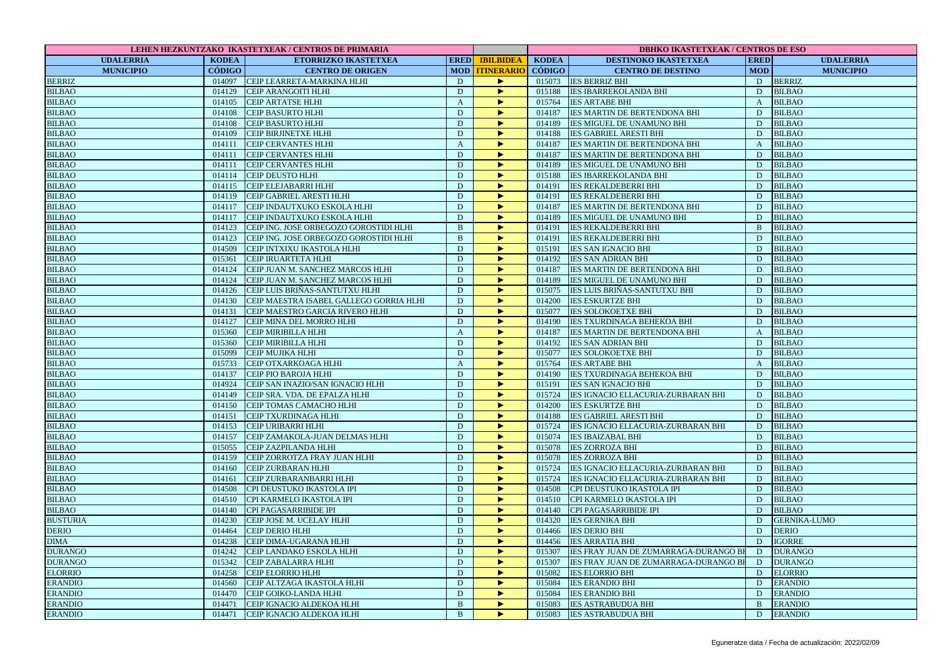| LEHEN HEZKUNTZAKO IKASTETXEAK / CENTROS DE PRIMARIA |               |                                                              |                  |                       | <b>DBHKO IKASTETXEAK / CENTROS DE ESO</b> |                                              |                |                     |  |
|-----------------------------------------------------|---------------|--------------------------------------------------------------|------------------|-----------------------|-------------------------------------------|----------------------------------------------|----------------|---------------------|--|
| <b>UDALERRIA</b>                                    | <b>KODEA</b>  | ETORRIZKO IKASTETXEA                                         |                  | ERED BILBIDEA         | <b>KODEA</b>                              | <b>DESTINOKO IKASTETXEA</b>                  | <b>ERED</b>    | <b>UDALERRIA</b>    |  |
| <b>MUNICIPIO</b>                                    | <b>CÓDIGO</b> | <b>CENTRO DE ORIGEN</b>                                      |                  | <b>MOD TTINERARIO</b> | <b>CÓDIGO</b>                             | <b>CENTRO DE DESTINO</b>                     | <b>MOD</b>     | <b>MUNICIPIO</b>    |  |
| <b>BERRIZ</b>                                       |               | 014097 CEIP LEARRETA-MARKINA HLHI                            | D                | ь                     |                                           | 015073 IES BERRIZ BHI                        | D              | <b>BERRIZ</b>       |  |
| <b>BILBAO</b>                                       | 014129        | <b>CEIP ARANGOITI HLHI</b>                                   | D                | ►                     |                                           | 015188 IES IBARREKOLANDA BHI                 | D              | <b>BILBAO</b>       |  |
| <b>BILBAO</b>                                       | 014105        | <b>CEIP ARTATSE HLHI</b>                                     | $\boldsymbol{A}$ | ▶                     | 015764                                    | <b>IES ARTABE BHI</b>                        | $\mathbf{A}$   | <b>BILBAO</b>       |  |
| <b>BILBAO</b>                                       | 014108        | <b>CEIP BASURTO HLHI</b>                                     | D                | ь                     | 014187                                    | <b>IES MARTIN DE BERTENDONA BHI</b>          | D              | <b>BILBAO</b>       |  |
| <b>BILBAO</b>                                       | 014108        | <b>CEIP BASURTO HLHI</b>                                     | $\mathbf D$      | ь                     | 014189                                    | <b>IES MIGUEL DE UNAMUNO BHI</b>             | D              | <b>BILBAO</b>       |  |
| <b>BILBAO</b>                                       | 014109        | <b>CEIP BIRJINETXE HLHI</b>                                  | D                | ь                     | 014188                                    | <b>IES GABRIEL ARESTI BHI</b>                | D              | <b>BILBAO</b>       |  |
| <b>BILBAO</b>                                       | 014111        | <b>CEIP CERVANTES HLHI</b>                                   | $\mathbf{A}$     | ▶                     | 014187                                    | <b>IES MARTIN DE BERTENDONA BHI</b>          | $\mathbf{A}$   | <b>BILBAO</b>       |  |
| <b>BILBAO</b>                                       | 014111        | <b>CEIP CERVANTES HLHI</b>                                   | $\mathbf D$      | ь                     | 014187                                    | <b>IES MARTIN DE BERTENDONA BHI</b>          | D              | <b>BILBAO</b>       |  |
| <b>BILBAO</b>                                       |               | 014111 CEIP CERVANTES HLHI                                   | D                | ь                     | 014189                                    | IES MIGUEL DE UNAMUNO BHI                    | D              | <b>BILBAO</b>       |  |
| <b>BILBAO</b>                                       |               | 014114 CEIP DEUSTO HLHI                                      | D                | ▶                     | 015188                                    | <b>IES IBARREKOLANDA BHI</b>                 | D              | <b>BILBAO</b>       |  |
| <b>BILBAO</b>                                       | 014115        | <b>CEIP ELEJABARRI HLHI</b>                                  | D                | ►                     | 014191                                    | <b>IES REKALDEBERRI BHI</b>                  | D              | <b>BILBAO</b>       |  |
| <b>BILBAO</b>                                       | 014119        | CEIP GABRIEL ARESTI HLHI                                     | $\mathbf{D}$     | ь                     | 014191                                    | <b>IES REKALDEBERRI BHI</b>                  | D              | <b>BILBAO</b>       |  |
| <b>BILBAO</b>                                       | 014117        | CEIP INDAUTXUKO ESKOLA HLHI                                  | D                | ▶                     | 014187                                    | <b>IES MARTIN DE BERTENDONA BHI</b>          | D              | <b>BILBAO</b>       |  |
| <b>BILBAO</b>                                       |               | 014117 CEIP INDAUTXUKO ESKOLA HLHI                           | D                | ь                     | 014189                                    | <b>IES MIGUEL DE UNAMUNO BHI</b>             | D              | <b>BILBAO</b>       |  |
| <b>BILBAO</b>                                       | 014123        | CEIP ING. JOSE ORBEGOZO GOROSTIDI HLHI                       | $\mathbf{B}$     | ь                     | 014191                                    | <b>IES REKALDEBERRI BHI</b>                  | $\, {\bf B}$   | <b>BILBAO</b>       |  |
| <b>BILBAO</b>                                       | 014123        | CEIP ING. JOSE ORBEGOZO GOROSTIDI HLHI                       | $\, {\bf B}$     | ь                     | 014191                                    | <b>IES REKALDEBERRI BHI</b>                  | D              | <b>BILBAO</b>       |  |
| <b>BILBAO</b>                                       | 014509        | CEIP INTXIXU IKASTOLA HLHI                                   | D                | ь                     | 015191                                    | <b>IES SAN IGNACIO BHI</b>                   | D              | <b>BILBAO</b>       |  |
| <b>BILBAO</b>                                       | 015361        | <b>CEIP IRUARTETA HLHI</b>                                   | D                | ь                     | 014192                                    | <b>IES SAN ADRIAN BHI</b>                    | D              | <b>BILBAO</b>       |  |
| <b>BILBAO</b>                                       | 014124        | CEIP JUAN M. SANCHEZ MARCOS HLHI                             | $\mathbf D$      | ь                     | 014187                                    | <b>IES MARTIN DE BERTENDONA BHI</b>          | D              | <b>BILBAO</b>       |  |
| <b>BILBAO</b>                                       | 014124        | CEIP JUAN M. SANCHEZ MARCOS HLHI                             | D                | ►                     | 014189                                    | <b>IES MIGUEL DE UNAMUNO BHI</b>             | D              | <b>BILBAO</b>       |  |
| <b>BILBAO</b>                                       | 014126        | CEIP LUIS BRIÑAS-SANTUTXU HLHI                               | D                | ▶                     |                                           | 015075 IES LUIS BRIÑAS-SANTUTXU BHI          | D              | <b>BILBAO</b>       |  |
| <b>BILBAO</b>                                       | 014130        | CEIP MAESTRA ISABEL GALLEGO GORRIA HLHI                      | D                | ь                     | 014200                                    | <b>IES ESKURTZE BHI</b>                      | D              | <b>BILBAO</b>       |  |
| <b>BILBAO</b>                                       | 014131        | CEIP MAESTRO GARCIA RIVERO HLHI                              | D                | ь                     | 015077                                    | <b>IES SOLOKOETXE BHI</b>                    | D              | <b>BILBAO</b>       |  |
| <b>BILBAO</b>                                       | 014127        | CEIP MINA DEL MORRO HLHI                                     | D                | ►                     | 014190                                    | <b>IES TXURDINAGA BEHEKOA BHI</b>            | D              | <b>BILBAO</b>       |  |
| <b>BILBAO</b>                                       | 015360        | <b>CEIP MIRIBILLA HLHI</b>                                   | $\mathbf{A}$     | ь                     | 014187                                    | <b>IES MARTIN DE BERTENDONA BHI</b>          | $\overline{A}$ | <b>BILBAO</b>       |  |
| <b>BILBAO</b>                                       | 015360        | <b>CEIP MIRIBILLA HLHI</b>                                   | D                | ь                     | 014192                                    | <b>IES SAN ADRIAN BHI</b>                    | D              | <b>BILBAO</b>       |  |
| <b>BILBAO</b>                                       | 015099        | CEIP MUJIKA HLHI                                             | D                | ▶                     | 015077                                    | <b>IES SOLOKOETXE BHI</b>                    | D              | <b>BILBAO</b>       |  |
| <b>BILBAO</b>                                       | 015733        | CEIP OTXARKOAGA HLHI                                         | $\mathbf{A}$     | ►                     | 015764                                    | <b>IES ARTABE BHI</b>                        | $\mathbf{A}$   | <b>BILBAO</b>       |  |
| <b>BILBAO</b>                                       | 014137        | <b>CEIP PIO BAROJA HLHI</b>                                  | $\mathbf D$      | ь                     | 014190                                    | <b>IES TXURDINAGA BEHEKOA BHI</b>            | D              | <b>BILBAO</b>       |  |
| <b>BILBAO</b>                                       | 014924        | CEIP SAN INAZIO/SAN IGNACIO HLHI                             | $\mathbf{D}$     | ь                     | 015191                                    | <b>IES SAN IGNACIO BHI</b>                   | D              | <b>BILBAO</b>       |  |
| <b>BILBAO</b>                                       | 014149        | CEIP SRA. VDA. DE EPALZA HLHI                                | D                | ь                     | 015724                                    | <b>IES IGNACIO ELLACURIA-ZURBARAN BHI</b>    | D              | <b>BILBAO</b>       |  |
| <b>BILBAO</b>                                       | 014150        | CEIP TOMAS CAMACHO HLHI                                      | D                |                       | 014200                                    | <b>IES ESKURTZE BHI</b>                      | D              | <b>BILBAO</b>       |  |
| <b>BILBAO</b>                                       | 014151        | <b>CEIP TXURDINAGA HLHI</b>                                  | ${\bf D}$        | ь                     | 014188                                    | <b>IES GABRIEL ARESTI BHI</b>                | D              | <b>BILBAO</b>       |  |
| <b>BILBAO</b>                                       | 014153        | <b>CEIP URIBARRI HLHI</b>                                    | D                | ь                     | 015724                                    | <b>IES IGNACIO ELLACURIA-ZURBARAN BHI</b>    | D              | <b>BILBAO</b>       |  |
| <b>BILBAO</b>                                       | 014157        | CEIP ZAMAKOLA-JUAN DELMAS HLHI                               | D                | ь                     |                                           | 015074 IES IBAIZABAL BHI                     | D              | <b>BILBAO</b>       |  |
| <b>BILBAO</b>                                       | 015055        | CEIP ZAZPILANDA HLHI                                         | $\mathbf D$      | ь                     | 015078                                    | <b>IES ZORROZA BHI</b>                       | D              | <b>BILBAO</b>       |  |
| <b>BILBAO</b>                                       | 014159        | CEIP ZORROTZA FRAY JUAN HLHI                                 | D                | ь                     | 015078                                    | <b>IES ZORROZA BHI</b>                       | D              | <b>BILBAO</b>       |  |
| <b>BILBAO</b>                                       | 014160        | <b>CEIP ZURBARAN HLHI</b>                                    | ${\bf D}$        | ▶                     | 015724                                    | IES IGNACIO ELLACURIA-ZURBARAN BHI           | D              | <b>BILBAO</b>       |  |
| <b>BILBAO</b>                                       | 014161        | <b>CEIP ZURBARANBARRI HLHI</b>                               | D                | ь                     |                                           | 015724 IES IGNACIO ELLACURIA-ZURBARAN BHI    | D              | <b>BILBAO</b>       |  |
| <b>BILBAO</b>                                       | 014508        |                                                              | $\mathbf D$      | ь                     | 014508                                    |                                              | D              | <b>BILBAO</b>       |  |
|                                                     | 014510        | CPI DEUSTUKO IKASTOLA IPI<br><b>CPI KARMELO IKASTOLA IPI</b> | $\mathbf{D}$     |                       |                                           | CPI DEUSTUKO IKASTOLA IPI                    | D              | <b>BILBAO</b>       |  |
| <b>BILBAO</b><br><b>BILBAO</b>                      | 014140        | <b>CPI PAGASARRIBIDE IPI</b>                                 | ${\bf D}$        | ▶<br>ь                | 014510                                    | CPI KARMELO IKASTOLA IPI                     | D              | <b>BILBAO</b>       |  |
|                                                     |               |                                                              |                  | ь                     | 014140                                    | <b>CPI PAGASARRIBIDE IPI</b>                 | D              |                     |  |
| <b>BUSTURIA</b>                                     | 014230        | CEIP JOSE M. UCELAY HLHI                                     | D                |                       | 014320                                    | <b>IES GERNIKA BHI</b>                       |                | <b>GERNIKA-LUMO</b> |  |
| <b>DERIO</b>                                        | 014464        | <b>CEIP DERIO HLHI</b>                                       | ${\bf D}$        | ►                     | 014466                                    | <b>IES DERIO BHI</b>                         | D              | DERIO               |  |
| <b>DIMA</b>                                         | 014238        | <b>CEIP DIMA-UGARANA HLHI</b>                                | ${\bf D}$        | ▶                     | 014456                                    | <b>IES ARRATIA BHI</b>                       | D              | <b>IGORRE</b>       |  |
| <b>DURANGO</b>                                      | 014242        | CEIP LANDAKO ESKOLA HLHI                                     | D                | ▶                     | 015307                                    | <b>IES FRAY JUAN DE ZUMARRAGA-DURANGO BI</b> | D              | <b>DURANGO</b>      |  |
| <b>DURANGO</b>                                      | 015342        | CEIP ZABALARRA HLHI                                          | D                | ь                     | 015307                                    | IES FRAY JUAN DE ZUMARRAGA-DURANGO BI        | D              | <b>DURANGO</b>      |  |
| <b>ELORRIO</b>                                      | 014258        | <b>CEIP ELORRIO HLHI</b>                                     | D                | ►                     | 015082                                    | <b>IES ELORRIO BHI</b>                       | D              | <b>ELORRIO</b>      |  |
| <b>ERANDIO</b>                                      | 014560        | CEIP ALTZAGA IKASTOLA HLHI                                   | ${\bf D}$        | ▶                     | 015084                                    | <b>IES ERANDIO BHI</b>                       | D              | <b>ERANDIO</b>      |  |
| <b>ERANDIO</b>                                      | 014470        | CEIP GOIKO-LANDA HLHI                                        | D                | ь                     | 015084                                    | <b>IES ERANDIO BHI</b>                       | D              | <b>ERANDIO</b>      |  |
| <b>ERANDIO</b>                                      | 014471        | CEIP IGNACIO ALDEKOA HLHI                                    | $\mathbf{B}$     | ь                     | 015083                                    | <b>IES ASTRABUDUA BHI</b>                    | $\mathbf{B}$   | <b>ERANDIO</b>      |  |
| <b>ERANDIO</b>                                      |               | 014471 CEIP IGNACIO ALDEKOA HLHI                             | $\, {\bf B}$     | ь                     |                                           | 015083 IES ASTRABUDUA BHI                    | D              | <b>ERANDIO</b>      |  |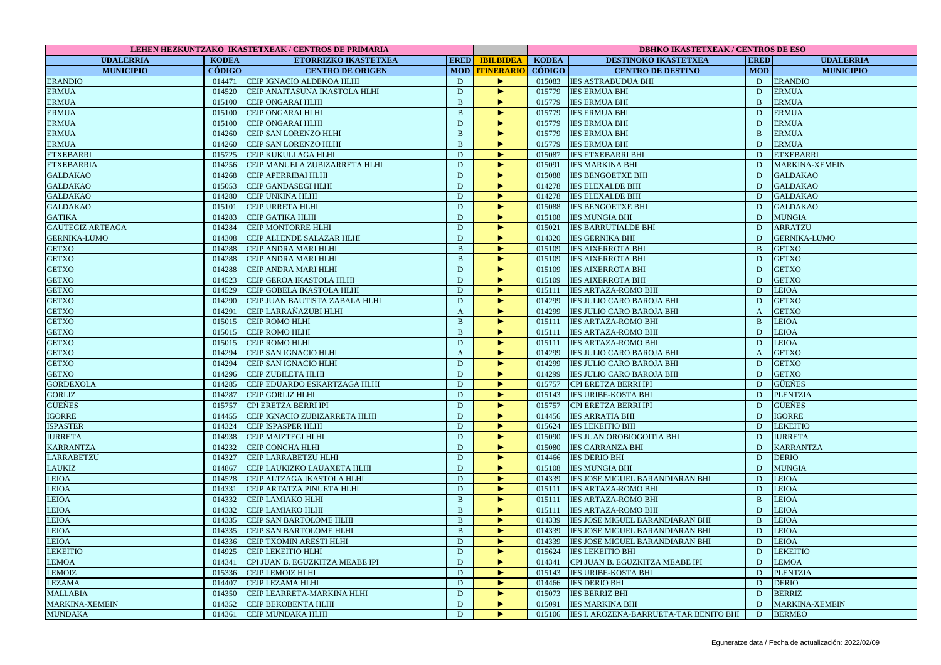| LEHEN HEZKUNTZAKO IKASTETXEAK / CENTROS DE PRIMARIA |              |                                  |                |                       |              | <b>DBHKO IKASTETXEAK / CENTROS DE ESO</b>       |                |                       |  |
|-----------------------------------------------------|--------------|----------------------------------|----------------|-----------------------|--------------|-------------------------------------------------|----------------|-----------------------|--|
| <b>UDALERRIA</b>                                    | <b>KODEA</b> | <b>ETORRIZKO IKASTETXEA</b>      |                | <b>ERED IBILBIDEA</b> | <b>KODEA</b> | <b>DESTINOKO IKASTETXEA</b>                     | <b>ERED</b>    | <b>UDALERRIA</b>      |  |
| <b>MUNICIPIO</b>                                    | CÓDIGO       | <b>CENTRO DE ORIGEN</b>          |                | <b>MOD TTINERARIO</b> | CÓDIGO       | <b>CENTRO DE DESTINO</b>                        | <b>MOD</b>     | <b>MUNICIPIO</b>      |  |
| <b>ERANDIO</b>                                      |              | 014471 CEIP IGNACIO ALDEKOA HLHI | D              | ▶                     |              | 015083 IES ASTRABUDUA BHI                       | D              | <b>ERANDIO</b>        |  |
| <b>ERMUA</b>                                        | 014520       | CEIP ANAITASUNA IKASTOLA HLHI    | D              | ь                     |              | 015779 IES ERMUA BHI                            | D              | <b>ERMUA</b>          |  |
| <b>ERMUA</b>                                        | 015100       | <b>CEIP ONGARAI HLHI</b>         | $\bf{B}$       | ▶                     | 015779       | <b>IES ERMUA BHI</b>                            | B              | <b>ERMUA</b>          |  |
| <b>ERMUA</b>                                        | 015100       | <b>CEIP ONGARAI HLHI</b>         | B              | ь                     | 015779       | <b>IES ERMUA BHI</b>                            | D              | <b>ERMUA</b>          |  |
| <b>ERMUA</b>                                        | 015100       | <b>CEIP ONGARAI HLHI</b>         | D              | ×                     | 015779       | <b>IES ERMUA BHI</b>                            | D              | <b>ERMUA</b>          |  |
| <b>ERMUA</b>                                        | 014260       | CEIP SAN LORENZO HLHI            | $\mathbf{B}$   | $\blacktriangleright$ | 015779       | <b>IES ERMUA BHI</b>                            | B              | <b>ERMUA</b>          |  |
| <b>ERMUA</b>                                        | 014260       | CEIP SAN LORENZO HLHI            | $\bf{B}$       | ь                     | 015779       | <b>IES ERMUA BHI</b>                            | D              | <b>ERMUA</b>          |  |
| <b>ETXEBARRI</b>                                    | 015725       | CEIP KUKULLAGA HLHI              | D              | ь                     | 015087       | <b>IES ETXEBARRI BHI</b>                        | D              | <b>ETXEBARRI</b>      |  |
| <b>ETXEBARRIA</b>                                   | 014256       | CEIP MANUELA ZUBIZARRETA HLHI    | D              | $\blacktriangleright$ | 015091       | <b>IES MARKINA BHI</b>                          | D              | <b>MARKINA-XEMEIN</b> |  |
| <b>GALDAKAO</b>                                     | 014268       | CEIP APERRIBAI HLHI              | D              | ь                     | 015088       | <b>IES BENGOETXE BHI</b>                        | D              | <b>GALDAKAO</b>       |  |
| <b>GALDAKAO</b>                                     | 015053       | CEIP GANDASEGI HLHI              | D              | ▶                     | 014278       | <b>IES ELEXALDE BHI</b>                         | D              | <b>GALDAKAO</b>       |  |
| <b>GALDAKAO</b>                                     | 014280       | <b>CEIP UNKINA HLHI</b>          | $\mathbf{D}$   | ×                     | 014278       | <b>IES ELEXALDE BHI</b>                         | D              | <b>GALDAKAO</b>       |  |
| <b>GALDAKAO</b>                                     | 015101       | <b>CEIP URRETA HLHI</b>          | D              | ▶                     | 015088       | <b>IES BENGOETXE BHI</b>                        | D              | <b>GALDAKAO</b>       |  |
| <b>GATIKA</b>                                       | 014283       | <b>CEIP GATIKA HLHI</b>          | D              | ×                     | 015108       | <b>IES MUNGIA BHI</b>                           | D              | <b>MUNGIA</b>         |  |
| <b>GAUTEGIZ ARTEAGA</b>                             | 014284       | <b>CEIP MONTORRE HLHI</b>        | D              | ь                     | 015021       | <b>IES BARRUTIALDE BHI</b>                      | D              | <b>ARRATZU</b>        |  |
| <b>GERNIKA-LUMO</b>                                 | 014308       | CEIP ALLENDE SALAZAR HLHI        | D              | ×                     | 014320       | <b>IES GERNIKA BHI</b>                          | D              | <b>GERNIKA-LUMO</b>   |  |
| <b>GETXO</b>                                        | 014288       | CEIP ANDRA MARI HLHI             | $\, {\bf B}$   | ▶                     | 015109       | <b>IES AIXERROTA BHI</b>                        | $\mathbf{B}$   | <b>GETXO</b>          |  |
| <b>GETXO</b>                                        | 014288       | CEIP ANDRA MARI HLHI             | $\mathbf{B}$   | ь                     | 015109       | <b>IES AIXERROTA BHI</b>                        | D              | <b>GETXO</b>          |  |
| <b>GETXO</b>                                        | 014288       | <b>CEIP ANDRA MARI HLHI</b>      | $\mathbf D$    | ▶                     | 015109       | <b>IES AIXERROTA BHI</b>                        | D              | <b>GETXO</b>          |  |
| <b>GETXO</b>                                        | 014523       | CEIP GEROA IKASTOLA HLHI         | D              | ▶                     | 015109       | <b>IES AIXERROTA BHI</b>                        | D              | <b>GETXO</b>          |  |
| <b>GETXO</b>                                        | 014529       | CEIP GOBELA IKASTOLA HLHI        | D              | ×                     | 015111       | <b>IES ARTAZA-ROMO BHI</b>                      | D              | <b>LEIOA</b>          |  |
| <b>GETXO</b>                                        | 014290       | CEIP JUAN BAUTISTA ZABALA HLHI   | D              | ь                     | 014299       | <b>IES JULIO CARO BAROJA BHI</b>                | D              | <b>GETXO</b>          |  |
|                                                     | 014291       |                                  |                | $\blacktriangleright$ | 014299       |                                                 |                |                       |  |
| <b>GETXO</b>                                        |              | CEIP LARRAÑAZUBI HLHI            | $\mathbf{A}$   |                       |              | <b>IES JULIO CARO BAROJA BHI</b>                | $\mathbf{A}$   | <b>GETXO</b>          |  |
| <b>GETXO</b>                                        | 015015       | <b>CEIP ROMO HLHI</b>            | B              | ▶                     | 015111       | <b>IES ARTAZA-ROMO BHI</b>                      | $\mathbf{B}$   | <b>LEIOA</b>          |  |
| <b>GETXO</b>                                        | 015015       | CEIP ROMO HLHI                   | $\mathbf{B}$   | ▶                     | 015111       | <b>IES ARTAZA-ROMO BHI</b>                      | D              | <b>LEIOA</b>          |  |
| <b>GETXO</b>                                        | 015015       | CEIP ROMO HLHI                   | D              | ×                     | 015111       | <b>IES ARTAZA-ROMO BHI</b>                      | D              | <b>LEIOA</b>          |  |
| <b>GETXO</b>                                        | 014294       | CEIP SAN IGNACIO HLHI            | $\mathbf{A}$   | ▶                     | 014299       | <b>IES JULIO CARO BAROJA BHI</b>                | $\mathbf{A}$   | <b>GETXO</b>          |  |
| <b>GETXO</b>                                        | 014294       | CEIP SAN IGNACIO HLHI            | D              | ▶                     | 014299       | <b>IES JULIO CARO BAROJA BHI</b>                | D              | <b>GETXO</b>          |  |
| <b>GETXO</b>                                        | 014296       | <b>CEIP ZUBILETA HLHI</b>        | D              | ь                     | 014299       | IES JULIO CARO BAROJA BHI                       | D              | <b>GETXO</b>          |  |
| <b>GORDEXOLA</b>                                    | 014285       | CEIP EDUARDO ESKARTZAGA HLHI     | D              | ×                     | 015757       | CPI ERETZA BERRI IPI                            | D              | <b>GÜEÑES</b>         |  |
| <b>GORLIZ</b>                                       | 014287       | <b>CEIP GORLIZ HLHI</b>          | D              | ▶                     | 015143       | <b>IES URIBE-KOSTA BHI</b>                      | D              | <b>PLENTZIA</b>       |  |
| <b>GÜEÑES</b>                                       | 015757       | CPI ERETZA BERRI IPI             | D              | ь                     | 015757       | CPI ERETZA BERRI IPI                            | D              | <b>GÜEÑES</b>         |  |
| <b>IGORRE</b>                                       | 014455       | CEIP IGNACIO ZUBIZARRETA HLHI    | $\mathbf D$    | ▶                     | 014456       | <b>IES ARRATIA BHI</b>                          | D              | <b>IGORRE</b>         |  |
| <b>ISPASTER</b>                                     | 014324       | <b>CEIP ISPASPER HLHI</b>        | D              | ×                     | 015624       | <b>IES LEKEITIO BHI</b>                         | D              | <b>LEKEITIO</b>       |  |
| <b>IURRETA</b>                                      | 014938       | CEIP MAIZTEGI HLHI               | D              | Þ                     | 015090       | <b>IES JUAN OROBIOGOITIA BHI</b>                | D              | <b>IURRETA</b>        |  |
| <b>KARRANTZA</b>                                    | 014232       | <b>CEIP CONCHA HLHI</b>          | $\mathbf D$    | ▶                     | 015080       | <b>IES CARRANZA BHI</b>                         | D              | <b>KARRANTZA</b>      |  |
| <b>LARRABETZU</b>                                   | 014327       | CEIP LARRABETZU HLHI             | ${\bf D}$      | ×                     | 014466       | <b>IES DERIO BHI</b>                            | D              | <b>DERIO</b>          |  |
| LAUKIZ                                              | 014867       | CEIP LAUKIZKO LAUAXETA HLHI      | D              | ь                     | 015108       | <b>IES MUNGIA BHI</b>                           | D              | <b>MUNGIA</b>         |  |
| <b>LEIOA</b>                                        | 014528       | CEIP ALTZAGA IKASTOLA HLHI       | $\overline{D}$ | ▶                     | 014339       | IES JOSE MIGUEL BARANDIARAN BHI                 | D              | <b>LEIOA</b>          |  |
| <b>LEIOA</b>                                        | 014331       | CEIP ARTATZA PINUETA HLHI        | D              | $\blacktriangleright$ | 015111       | <b>IES ARTAZA-ROMO BHI</b>                      | D              | <b>LEIOA</b>          |  |
| <b>LEIOA</b>                                        | 014332       | CEIP LAMIAKO HLHI                | $\mathbf{B}$   | ▶                     | 015111       | <b>IES ARTAZA-ROMO BHI</b>                      | B              | LEIOA                 |  |
| <b>LEIOA</b>                                        | 014332       | <b>CEIP LAMIAKO HLHI</b>         | $\bf{B}$       | ▶                     | 015111       | <b>IES ARTAZA-ROMO BHI</b>                      | D              | <b>LEIOA</b>          |  |
| LEIOA                                               | 014335       | CEIP SAN BARTOLOME HLHI          | $\mathbf{B}$   | $\blacktriangleright$ | 014339       | IES JOSE MIGUEL BARANDIARAN BHI                 | $\overline{B}$ | LEIOA                 |  |
| <b>LEIOA</b>                                        | 014335       | CEIP SAN BARTOLOME HLHI          | $\bf{B}$       | $\blacktriangleright$ | 014339       | IES JOSE MIGUEL BARANDIARAN BHI                 | D              | LEIOA                 |  |
| <b>LEIOA</b>                                        | 014336       | <b>CEIP TXOMIN ARESTI HLHI</b>   | $\mathbf{D}$   | ▶                     | 014339       | <b>IES JOSE MIGUEL BARANDIARAN BHI</b>          | D              | <b>LEIOA</b>          |  |
| <b>LEKEITIO</b>                                     | 014925       | CEIP LEKEITIO HLHI               | D              | Þ                     | 015624       | <b>IES LEKEITIO BHI</b>                         | D              | <b>LEKEITIO</b>       |  |
| <b>LEMOA</b>                                        | 014341       | CPI JUAN B. EGUZKITZA MEABE IPI  | D              | ь                     | 014341       | CPI JUAN B. EGUZKITZA MEABE IPI                 | D              | LEMOA                 |  |
| <b>LEMOIZ</b>                                       | 015336       | <b>CEIP LEMOIZ HLHI</b>          | D              | ×                     | 015143       | <b>IES URIBE-KOSTA BHI</b>                      | D              | <b>PLENTZIA</b>       |  |
| <b>LEZAMA</b>                                       | 014407       | <b>CEIP LEZAMA HLHI</b>          | D              | ▶                     | 014466       | <b>IES DERIO BHI</b>                            | D              | <b>DERIO</b>          |  |
| <b>MALLABIA</b>                                     | 014350       | CEIP LEARRETA-MARKINA HLHI       | D              | ▶                     | 015073       | <b>IES BERRIZ BHI</b>                           | D              | <b>BERRIZ</b>         |  |
| <b>MARKINA-XEMEIN</b>                               | 014352       | <b>CEIP BEKOBENTA HLHI</b>       | D              | $\blacktriangleright$ |              | 015091 IES MARKINA BHI                          | D              | <b>MARKINA-XEMEIN</b> |  |
| <b>MUNDAKA</b>                                      |              | 014361 CEIP MUNDAKA HLHI         | D              | ×                     |              | 015106   IES I. AROZENA-BARRUETA-TAR BENITO BHI | D              | <b>BERMEO</b>         |  |
|                                                     |              |                                  |                |                       |              |                                                 |                |                       |  |